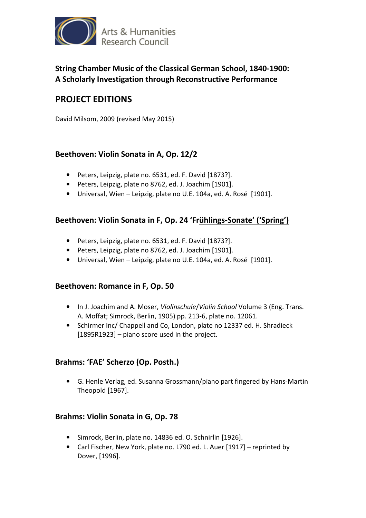

# **String Chamber Music of the Classical German School, 1840-1900: A Scholarly Investigation through Reconstructive Performance**

# **PROJECT EDITIONS**

David Milsom, 2009 (revised May 2015)

### **Beethoven: Violin Sonata in A, Op. 12/2**

- Peters, Leipzig, plate no. 6531, ed. F. David [1873?].
- Peters, Leipzig, plate no 8762, ed. J. Joachim [1901].
- Universal, Wien Leipzig, plate no U.E. 104a, ed. A. Rosé [1901].

### **Beethoven: Violin Sonata in F, Op. 24 'Frühlings-Sonate' ('Spring')**

- Peters, Leipzig, plate no. 6531, ed. F. David [1873?].
- Peters, Leipzig, plate no 8762, ed. J. Joachim [1901].
- Universal, Wien Leipzig, plate no U.E. 104a, ed. A. Rosé [1901].

#### **Beethoven: Romance in F, Op. 50**

- In J. Joachim and A. Moser, *Violinschule*/*Violin School* Volume 3 (Eng. Trans. A. Moffat; Simrock, Berlin, 1905) pp. 213-6, plate no. 12061.
- Schirmer Inc/ Chappell and Co, London, plate no 12337 ed. H. Shradieck [1895R1923] – piano score used in the project.

### **Brahms: 'FAE' Scherzo (Op. Posth.)**

• G. Henle Verlag, ed. Susanna Grossmann/piano part fingered by Hans-Martin Theopold [1967].

### **Brahms: Violin Sonata in G, Op. 78**

- Simrock, Berlin, plate no. 14836 ed. O. Schnirlin [1926].
- Carl Fischer, New York, plate no. L790 ed. L. Auer [1917] reprinted by Dover, [1996].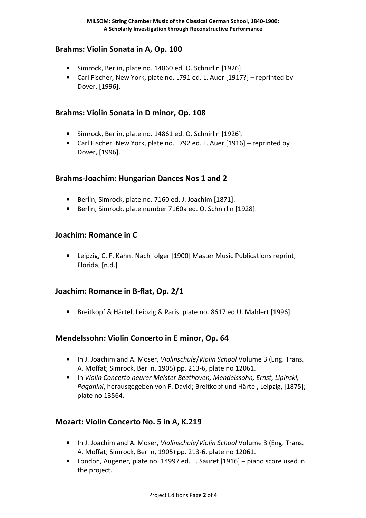### **Brahms: Violin Sonata in A, Op. 100**

- Simrock, Berlin, plate no. 14860 ed. O. Schnirlin [1926].
- Carl Fischer, New York, plate no. L791 ed. L. Auer [1917?] reprinted by Dover, [1996].

### **Brahms: Violin Sonata in D minor, Op. 108**

- Simrock, Berlin, plate no. 14861 ed. O. Schnirlin [1926].
- Carl Fischer, New York, plate no. L792 ed. L. Auer [1916] reprinted by Dover, [1996].

### **Brahms-Joachim: Hungarian Dances Nos 1 and 2**

- Berlin, Simrock, plate no. 7160 ed. J. Joachim [1871].
- Berlin, Simrock, plate number 7160a ed. O. Schnirlin [1928].

### **Joachim: Romance in C**

• Leipzig, C. F. Kahnt Nach folger [1900] Master Music Publications reprint, Florida, [n.d.]

# **Joachim: Romance in B-flat, Op. 2/1**

• Breitkopf & Härtel, Leipzig & Paris, plate no. 8617 ed U. Mahlert [1996].

# **Mendelssohn: Violin Concerto in E minor, Op. 64**

- In J. Joachim and A. Moser, *Violinschule*/*Violin School* Volume 3 (Eng. Trans. A. Moffat; Simrock, Berlin, 1905) pp. 213-6, plate no 12061.
- In *Violin Concerto neurer Meister Beethoven, Mendelssohn, Ernst, Lipinski, Paganini*, herausgegeben von F. David; Breitkopf und Härtel, Leipzig, [1875]; plate no 13564.

# **Mozart: Violin Concerto No. 5 in A, K.219**

- In J. Joachim and A. Moser, *Violinschule*/*Violin School* Volume 3 (Eng. Trans. A. Moffat; Simrock, Berlin, 1905) pp. 213-6, plate no 12061.
- London, Augener, plate no. 14997 ed. E. Sauret [1916] piano score used in the project.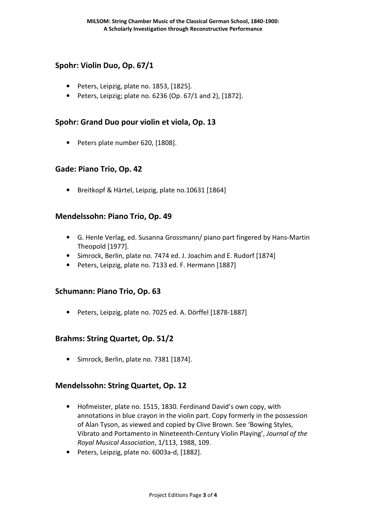### **Spohr: Violin Duo, Op. 67/1**

- Peters, Leipzig, plate no. 1853, [1825].
- Peters, Leipzig; plate no.  $6236$  (Op.  $67/1$  and 2), [1872].

### **Spohr: Grand Duo pour violin et viola, Op. 13**

• Peters plate number 620, [1808].

#### **Gade: Piano Trio, Op. 42**

• Breitkopf & Härtel, Leipzig, plate no.10631 [1864]

### **Mendelssohn: Piano Trio, Op. 49**

- G. Henle Verlag, ed. Susanna Grossmann/ piano part fingered by Hans-Martin Theopold [1977].
- Simrock, Berlin, plate no. 7474 ed. J. Joachim and E. Rudorf [1874]
- Peters, Leipzig, plate no. 7133 ed. F. Hermann [1887]

### **Schumann: Piano Trio, Op. 63**

• Peters, Leipzig, plate no. 7025 ed. A. Dörffel [1878-1887]

### **Brahms: String Quartet, Op. 51/2**

• Simrock, Berlin, plate no. 7381 [1874].

### **Mendelssohn: String Quartet, Op. 12**

- Hofmeister, plate no. 1515, 1830. Ferdinand David's own copy, with annotations in blue crayon in the violin part. Copy formerly in the possession of Alan Tyson, as viewed and copied by Clive Brown. See 'Bowing Styles, Vibrato and Portamento in Nineteenth-Century Violin Playing', *Journal of the Royal Musical Association*, 1/113, 1988, 109.
- Peters, Leipzig, plate no. 6003a-d, [1882].